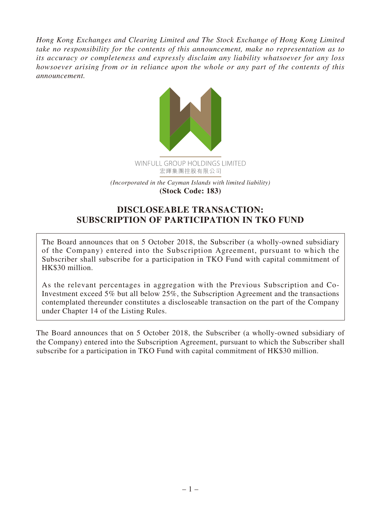*Hong Kong Exchanges and Clearing Limited and The Stock Exchange of Hong Kong Limited take no responsibility for the contents of this announcement, make no representation as to its accuracy or completeness and expressly disclaim any liability whatsoever for any loss howsoever arising from or in reliance upon the whole or any part of the contents of this announcement.*



**DISCLOSEABLE TRANSACTION: SUBSCRIPTION OF PARTICIPATION IN TKO FUND**

The Board announces that on 5 October 2018, the Subscriber (a wholly-owned subsidiary of the Company) entered into the Subscription Agreement, pursuant to which the Subscriber shall subscribe for a participation in TKO Fund with capital commitment of HK\$30 million.

As the relevant percentages in aggregation with the Previous Subscription and Co-Investment exceed 5% but all below 25%, the Subscription Agreement and the transactions contemplated thereunder constitutes a discloseable transaction on the part of the Company under Chapter 14 of the Listing Rules.

The Board announces that on 5 October 2018, the Subscriber (a wholly-owned subsidiary of the Company) entered into the Subscription Agreement, pursuant to which the Subscriber shall subscribe for a participation in TKO Fund with capital commitment of HK\$30 million.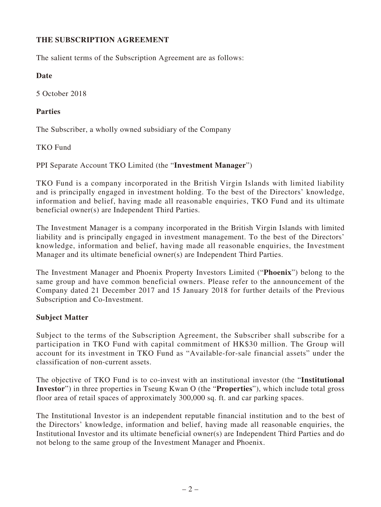# **THE SUBSCRIPTION AGREEMENT**

The salient terms of the Subscription Agreement are as follows:

### **Date**

5 October 2018

### **Parties**

The Subscriber, a wholly owned subsidiary of the Company

TKO Fund

PPI Separate Account TKO Limited (the "**Investment Manager**")

TKO Fund is a company incorporated in the British Virgin Islands with limited liability and is principally engaged in investment holding. To the best of the Directors' knowledge, information and belief, having made all reasonable enquiries, TKO Fund and its ultimate beneficial owner(s) are Independent Third Parties.

The Investment Manager is a company incorporated in the British Virgin Islands with limited liability and is principally engaged in investment management. To the best of the Directors' knowledge, information and belief, having made all reasonable enquiries, the Investment Manager and its ultimate beneficial owner(s) are Independent Third Parties.

The Investment Manager and Phoenix Property Investors Limited ("**Phoenix**") belong to the same group and have common beneficial owners. Please refer to the announcement of the Company dated 21 December 2017 and 15 January 2018 for further details of the Previous Subscription and Co-Investment.

## **Subject Matter**

Subject to the terms of the Subscription Agreement, the Subscriber shall subscribe for a participation in TKO Fund with capital commitment of HK\$30 million. The Group will account for its investment in TKO Fund as "Available-for-sale financial assets" under the classification of non-current assets.

The objective of TKO Fund is to co-invest with an institutional investor (the "**Institutional Investor**") in three properties in Tseung Kwan O (the "**Properties**"), which include total gross floor area of retail spaces of approximately 300,000 sq. ft. and car parking spaces.

The Institutional Investor is an independent reputable financial institution and to the best of the Directors' knowledge, information and belief, having made all reasonable enquiries, the Institutional Investor and its ultimate beneficial owner(s) are Independent Third Parties and do not belong to the same group of the Investment Manager and Phoenix.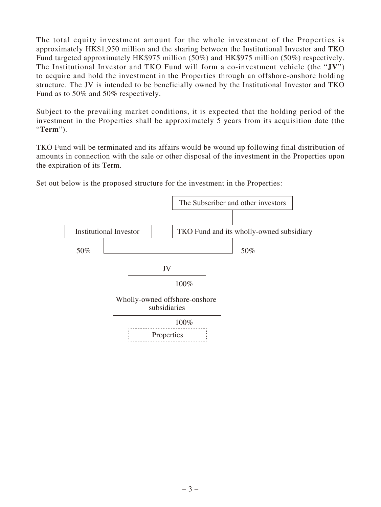The total equity investment amount for the whole investment of the Properties is approximately HK\$1,950 million and the sharing between the Institutional Investor and TKO Fund targeted approximately HK\$975 million (50%) and HK\$975 million (50%) respectively. The Institutional Investor and TKO Fund will form a co-investment vehicle (the "**JV**") to acquire and hold the investment in the Properties through an offshore-onshore holding structure. The JV is intended to be beneficially owned by the Institutional Investor and TKO Fund as to 50% and 50% respectively.

Subject to the prevailing market conditions, it is expected that the holding period of the investment in the Properties shall be approximately 5 years from its acquisition date (the "**Term**").

TKO Fund will be terminated and its affairs would be wound up following final distribution of amounts in connection with the sale or other disposal of the investment in the Properties upon the expiration of its Term.

Set out below is the proposed structure for the investment in the Properties:

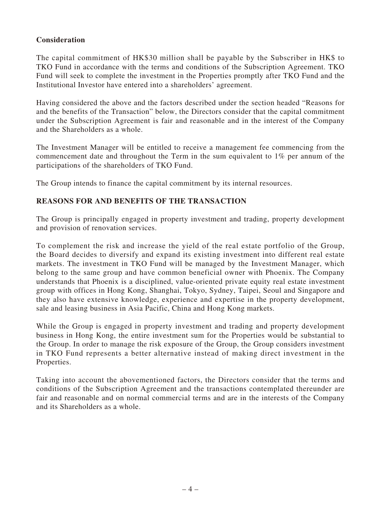## **Consideration**

The capital commitment of HK\$30 million shall be payable by the Subscriber in HK\$ to TKO Fund in accordance with the terms and conditions of the Subscription Agreement. TKO Fund will seek to complete the investment in the Properties promptly after TKO Fund and the Institutional Investor have entered into a shareholders' agreement.

Having considered the above and the factors described under the section headed "Reasons for and the benefits of the Transaction" below, the Directors consider that the capital commitment under the Subscription Agreement is fair and reasonable and in the interest of the Company and the Shareholders as a whole.

The Investment Manager will be entitled to receive a management fee commencing from the commencement date and throughout the Term in the sum equivalent to 1% per annum of the participations of the shareholders of TKO Fund.

The Group intends to finance the capital commitment by its internal resources.

## **REASONS FOR AND BENEFITS OF THE TRANSACTION**

The Group is principally engaged in property investment and trading, property development and provision of renovation services.

To complement the risk and increase the yield of the real estate portfolio of the Group, the Board decides to diversify and expand its existing investment into different real estate markets. The investment in TKO Fund will be managed by the Investment Manager, which belong to the same group and have common beneficial owner with Phoenix. The Company understands that Phoenix is a disciplined, value-oriented private equity real estate investment group with offices in Hong Kong, Shanghai, Tokyo, Sydney, Taipei, Seoul and Singapore and they also have extensive knowledge, experience and expertise in the property development, sale and leasing business in Asia Pacific, China and Hong Kong markets.

While the Group is engaged in property investment and trading and property development business in Hong Kong, the entire investment sum for the Properties would be substantial to the Group. In order to manage the risk exposure of the Group, the Group considers investment in TKO Fund represents a better alternative instead of making direct investment in the Properties.

Taking into account the abovementioned factors, the Directors consider that the terms and conditions of the Subscription Agreement and the transactions contemplated thereunder are fair and reasonable and on normal commercial terms and are in the interests of the Company and its Shareholders as a whole.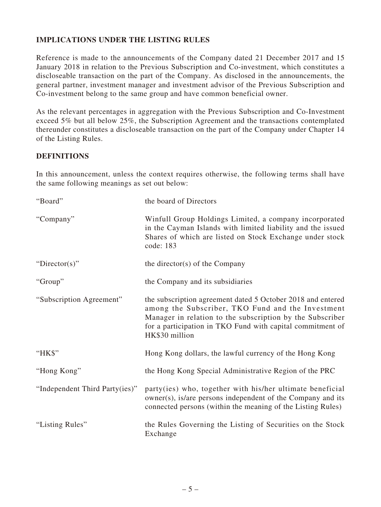# **IMPLICATIONS UNDER THE LISTING RULES**

Reference is made to the announcements of the Company dated 21 December 2017 and 15 January 2018 in relation to the Previous Subscription and Co-investment, which constitutes a discloseable transaction on the part of the Company. As disclosed in the announcements, the general partner, investment manager and investment advisor of the Previous Subscription and Co-investment belong to the same group and have common beneficial owner.

As the relevant percentages in aggregation with the Previous Subscription and Co-Investment exceed 5% but all below 25%, the Subscription Agreement and the transactions contemplated thereunder constitutes a discloseable transaction on the part of the Company under Chapter 14 of the Listing Rules.

## **DEFINITIONS**

In this announcement, unless the context requires otherwise, the following terms shall have the same following meanings as set out below:

| "Board"                        | the board of Directors                                                                                                                                                                                                                                        |
|--------------------------------|---------------------------------------------------------------------------------------------------------------------------------------------------------------------------------------------------------------------------------------------------------------|
| "Company"                      | Winfull Group Holdings Limited, a company incorporated<br>in the Cayman Islands with limited liability and the issued<br>Shares of which are listed on Stock Exchange under stock<br>code: 183                                                                |
| "Director(s)"                  | the director(s) of the Company                                                                                                                                                                                                                                |
| "Group"                        | the Company and its subsidiaries                                                                                                                                                                                                                              |
| "Subscription Agreement"       | the subscription agreement dated 5 October 2018 and entered<br>among the Subscriber, TKO Fund and the Investment<br>Manager in relation to the subscription by the Subscriber<br>for a participation in TKO Fund with capital commitment of<br>HK\$30 million |
| "HK\$"                         | Hong Kong dollars, the lawful currency of the Hong Kong                                                                                                                                                                                                       |
| "Hong Kong"                    | the Hong Kong Special Administrative Region of the PRC                                                                                                                                                                                                        |
| "Independent Third Party(ies)" | party(ies) who, together with his/her ultimate beneficial<br>owner(s), is/are persons independent of the Company and its<br>connected persons (within the meaning of the Listing Rules)                                                                       |
| "Listing Rules"                | the Rules Governing the Listing of Securities on the Stock<br>Exchange                                                                                                                                                                                        |